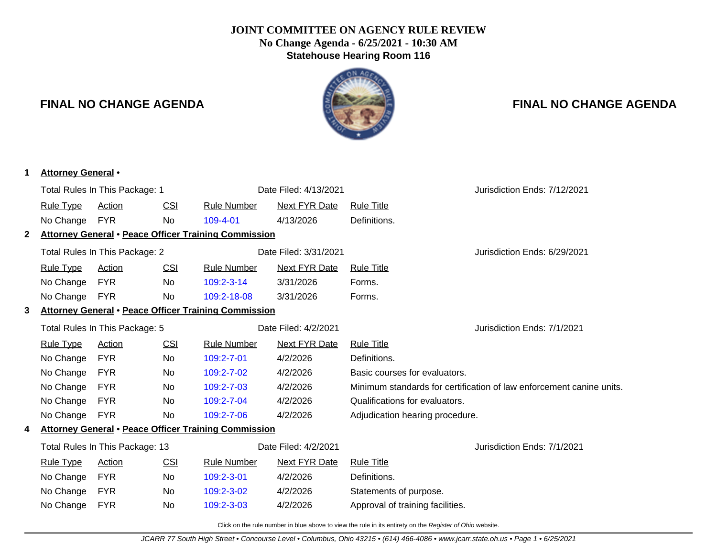#### **JOINT COMMITTEE ON AGENCY RULE REVIEW No Change Agenda - 6/25/2021 - 10:30 AM Statehouse Hearing Room 116**

# IN AG

### **FINAL NO CHANGE AGENDA FINAL NO CHANGE AGENDA**

| 1            | <b>Attorney General</b> • |                                 |            |                                                             |                       |                                  |                                                                      |
|--------------|---------------------------|---------------------------------|------------|-------------------------------------------------------------|-----------------------|----------------------------------|----------------------------------------------------------------------|
|              |                           | Total Rules In This Package: 1  |            |                                                             | Date Filed: 4/13/2021 |                                  | Jurisdiction Ends: 7/12/2021                                         |
|              | <b>Rule Type</b>          | <b>Action</b>                   | <b>CSI</b> | <b>Rule Number</b>                                          | <b>Next FYR Date</b>  | <b>Rule Title</b>                |                                                                      |
|              | No Change                 | <b>FYR</b>                      | No         | 109-4-01                                                    | 4/13/2026             | Definitions.                     |                                                                      |
| $\mathbf{2}$ |                           |                                 |            | Attorney General . Peace Officer Training Commission        |                       |                                  |                                                                      |
|              |                           | Total Rules In This Package: 2  |            |                                                             | Date Filed: 3/31/2021 |                                  | Jurisdiction Ends: 6/29/2021                                         |
|              | <b>Rule Type</b>          | Action                          | <u>CSI</u> | <b>Rule Number</b>                                          | Next FYR Date         | <b>Rule Title</b>                |                                                                      |
|              | No Change                 | <b>FYR</b>                      | No.        | $109:2 - 3 - 14$                                            | 3/31/2026             | Forms.                           |                                                                      |
|              | No Change                 | <b>FYR</b>                      | No         | 109:2-18-08                                                 | 3/31/2026             | Forms.                           |                                                                      |
| 3            |                           |                                 |            | <b>Attorney General • Peace Officer Training Commission</b> |                       |                                  |                                                                      |
|              |                           | Total Rules In This Package: 5  |            |                                                             | Date Filed: 4/2/2021  |                                  | Jurisdiction Ends: 7/1/2021                                          |
|              | <b>Rule Type</b>          | Action                          | CSI        | <b>Rule Number</b>                                          | Next FYR Date         | <b>Rule Title</b>                |                                                                      |
|              | No Change                 | <b>FYR</b>                      | No         | 109:2-7-01                                                  | 4/2/2026              | Definitions.                     |                                                                      |
|              | No Change                 | <b>FYR</b>                      | No         | 109:2-7-02                                                  | 4/2/2026              | Basic courses for evaluators.    |                                                                      |
|              | No Change                 | <b>FYR</b>                      | No         | 109:2-7-03                                                  | 4/2/2026              |                                  | Minimum standards for certification of law enforcement canine units. |
|              | No Change                 | <b>FYR</b>                      | No         | 109:2-7-04                                                  | 4/2/2026              | Qualifications for evaluators.   |                                                                      |
|              | No Change                 | <b>FYR</b>                      | No.        | 109:2-7-06                                                  | 4/2/2026              | Adjudication hearing procedure.  |                                                                      |
| 4            |                           |                                 |            | Attorney General . Peace Officer Training Commission        |                       |                                  |                                                                      |
|              |                           | Total Rules In This Package: 13 |            |                                                             | Date Filed: 4/2/2021  |                                  | Jurisdiction Ends: 7/1/2021                                          |
|              | <b>Rule Type</b>          | Action                          | CSI        | <b>Rule Number</b>                                          | Next FYR Date         | <b>Rule Title</b>                |                                                                      |
|              | No Change                 | <b>FYR</b>                      | No         | 109:2-3-01                                                  | 4/2/2026              | Definitions.                     |                                                                      |
|              | No Change                 | <b>FYR</b>                      | No         | 109:2-3-02                                                  | 4/2/2026              | Statements of purpose.           |                                                                      |
|              | No Change                 | <b>FYR</b>                      | No         | 109:2-3-03                                                  | 4/2/2026              | Approval of training facilities. |                                                                      |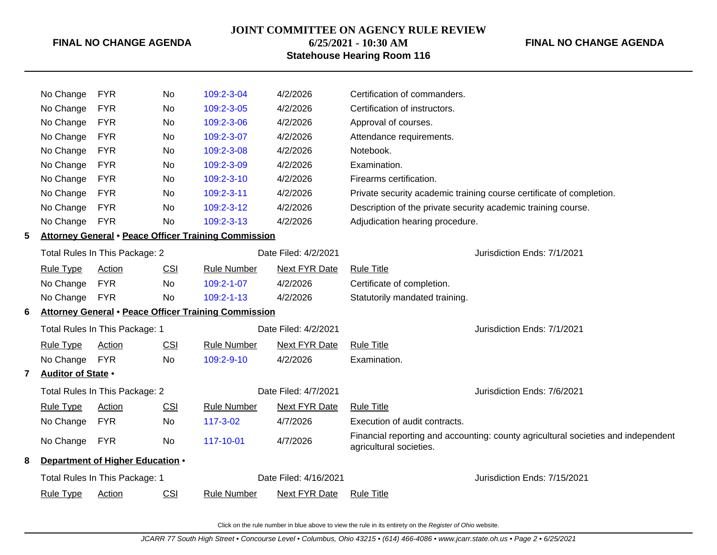#### **JOINT COMMITTEE ON AGENCY RULE REVIEW**

#### **FINAL NO CHANGE AGENDA**

## **6/25/2021 - 10:30 AM Statehouse Hearing Room 116** No Change FYR No [109:2-3-04](http://www.registerofohio.state.oh.us/jsps/publicdisplayrules/processPublicDisplayRules.jsp?entered_rule_no=109:2-3-04&doWhat=GETBYRULENUM&raID=0) 4/2/2026 Certification of commanders.

|   | No Change                      | <b>FYR</b>                                                  | No         | 109:2-3-05                                                  | 4/2/2026              | Certification of instructors.                                 |                                                                                   |  |  |  |  |
|---|--------------------------------|-------------------------------------------------------------|------------|-------------------------------------------------------------|-----------------------|---------------------------------------------------------------|-----------------------------------------------------------------------------------|--|--|--|--|
|   | No Change                      | <b>FYR</b>                                                  | No         | 109:2-3-06                                                  | 4/2/2026              | Approval of courses.                                          |                                                                                   |  |  |  |  |
|   | No Change                      | <b>FYR</b>                                                  | No         | 109:2-3-07                                                  | 4/2/2026              | Attendance requirements.                                      |                                                                                   |  |  |  |  |
|   | No Change                      | <b>FYR</b>                                                  | No         | 109:2-3-08                                                  | 4/2/2026              | Notebook.                                                     |                                                                                   |  |  |  |  |
|   | No Change                      | <b>FYR</b>                                                  | No         | 109:2-3-09                                                  | 4/2/2026              | Examination.                                                  |                                                                                   |  |  |  |  |
|   | No Change                      | <b>FYR</b>                                                  | No         | 109:2-3-10                                                  | 4/2/2026              | Firearms certification.                                       |                                                                                   |  |  |  |  |
|   | No Change                      | <b>FYR</b>                                                  | No         | 109:2-3-11                                                  | 4/2/2026              |                                                               | Private security academic training course certificate of completion.              |  |  |  |  |
|   | No Change                      | <b>FYR</b>                                                  | No         | 109:2-3-12                                                  | 4/2/2026              | Description of the private security academic training course. |                                                                                   |  |  |  |  |
|   | No Change                      | <b>FYR</b>                                                  | No         | 109:2-3-13                                                  | 4/2/2026              | Adjudication hearing procedure.                               |                                                                                   |  |  |  |  |
| 5 |                                |                                                             |            | <b>Attorney General . Peace Officer Training Commission</b> |                       |                                                               |                                                                                   |  |  |  |  |
|   |                                | Total Rules In This Package: 2                              |            |                                                             | Date Filed: 4/2/2021  |                                                               | Jurisdiction Ends: 7/1/2021                                                       |  |  |  |  |
|   | <b>Rule Type</b>               | Action                                                      | <b>CSI</b> | <b>Rule Number</b>                                          | Next FYR Date         | <b>Rule Title</b>                                             |                                                                                   |  |  |  |  |
|   | No Change                      | <b>FYR</b>                                                  | No         | 109:2-1-07                                                  | 4/2/2026              | Certificate of completion.                                    |                                                                                   |  |  |  |  |
|   | No Change                      | <b>FYR</b>                                                  | No         | 109:2-1-13                                                  | 4/2/2026              | Statutorily mandated training.                                |                                                                                   |  |  |  |  |
| 6 |                                | <b>Attorney General • Peace Officer Training Commission</b> |            |                                                             |                       |                                                               |                                                                                   |  |  |  |  |
|   | Total Rules In This Package: 1 |                                                             |            |                                                             | Date Filed: 4/2/2021  |                                                               | Jurisdiction Ends: 7/1/2021                                                       |  |  |  |  |
|   | <b>Rule Type</b>               | Action                                                      | <b>CSI</b> | <b>Rule Number</b>                                          | Next FYR Date         | <b>Rule Title</b>                                             |                                                                                   |  |  |  |  |
|   | No Change                      | <b>FYR</b>                                                  | No         | 109:2-9-10                                                  | 4/2/2026              | Examination.                                                  |                                                                                   |  |  |  |  |
| 7 | Auditor of State .             |                                                             |            |                                                             |                       |                                                               |                                                                                   |  |  |  |  |
|   |                                | Total Rules In This Package: 2                              |            |                                                             | Date Filed: 4/7/2021  |                                                               | Jurisdiction Ends: 7/6/2021                                                       |  |  |  |  |
|   | <b>Rule Type</b>               | <b>Action</b>                                               | <b>CSI</b> | <b>Rule Number</b>                                          | <b>Next FYR Date</b>  | <b>Rule Title</b>                                             |                                                                                   |  |  |  |  |
|   | No Change                      | <b>FYR</b>                                                  | No         | 117-3-02                                                    | 4/7/2026              | Execution of audit contracts.                                 |                                                                                   |  |  |  |  |
|   | No Change                      | <b>FYR</b>                                                  | No         | 117-10-01                                                   | 4/7/2026              | agricultural societies.                                       | Financial reporting and accounting: county agricultural societies and independent |  |  |  |  |
| 8 |                                | Department of Higher Education .                            |            |                                                             |                       |                                                               |                                                                                   |  |  |  |  |
|   |                                | Total Rules In This Package: 1                              |            |                                                             | Date Filed: 4/16/2021 |                                                               | Jurisdiction Ends: 7/15/2021                                                      |  |  |  |  |
|   | <b>Rule Type</b>               | <b>Action</b>                                               | <b>CSI</b> | <b>Rule Number</b>                                          | <b>Next FYR Date</b>  | <b>Rule Title</b>                                             |                                                                                   |  |  |  |  |
|   |                                |                                                             |            |                                                             |                       |                                                               |                                                                                   |  |  |  |  |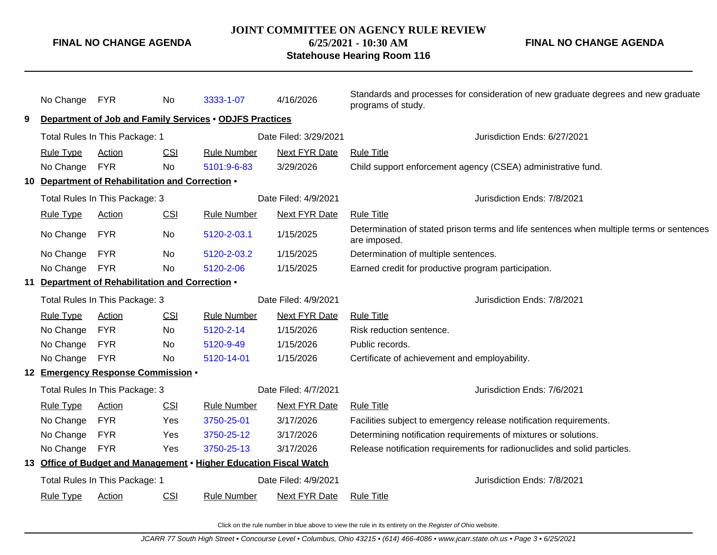#### **JOINT COMMITTEE ON AGENCY RULE REVIEW**

**6/25/2021 - 10:30 AM**

#### **Statehouse Hearing Room 116**

**FINAL NO CHANGE AGENDA**

|                                                  | No Change FYR                  |                                                        | No                   | 3333-1-07                                                          | 4/16/2026                   | Standards and processes for consideration of new graduate degrees and new graduate<br>programs of study. |
|--------------------------------------------------|--------------------------------|--------------------------------------------------------|----------------------|--------------------------------------------------------------------|-----------------------------|----------------------------------------------------------------------------------------------------------|
| 9                                                |                                |                                                        |                      | Department of Job and Family Services . ODJFS Practices            |                             |                                                                                                          |
|                                                  |                                | Total Rules In This Package: 1                         |                      |                                                                    | Date Filed: 3/29/2021       | Jurisdiction Ends: 6/27/2021                                                                             |
|                                                  | <b>Rule Type</b>               | Action                                                 | CSI                  | <b>Rule Number</b>                                                 | Next FYR Date               | <b>Rule Title</b>                                                                                        |
|                                                  | No Change                      | <b>FYR</b>                                             | <b>No</b>            | 5101:9-6-83                                                        | 3/29/2026                   | Child support enforcement agency (CSEA) administrative fund.                                             |
|                                                  |                                | 10 Department of Rehabilitation and Correction .       |                      |                                                                    |                             |                                                                                                          |
|                                                  |                                | Total Rules In This Package: 3<br>Date Filed: 4/9/2021 |                      |                                                                    | Jurisdiction Ends: 7/8/2021 |                                                                                                          |
|                                                  | <b>Rule Type</b>               | Action                                                 | CSI                  | <b>Rule Number</b>                                                 | <b>Next FYR Date</b>        | <b>Rule Title</b>                                                                                        |
|                                                  | No Change                      | <b>FYR</b>                                             | No                   | 5120-2-03.1                                                        | 1/15/2025                   | Determination of stated prison terms and life sentences when multiple terms or sentences<br>are imposed. |
|                                                  | No Change                      | <b>FYR</b>                                             | No                   | 5120-2-03.2                                                        | 1/15/2025                   | Determination of multiple sentences.                                                                     |
|                                                  | No Change                      | <b>FYR</b>                                             | <b>No</b>            | 5120-2-06                                                          | 1/15/2025                   | Earned credit for productive program participation.                                                      |
| 11 Department of Rehabilitation and Correction . |                                |                                                        |                      |                                                                    |                             |                                                                                                          |
|                                                  |                                | Total Rules In This Package: 3<br>Date Filed: 4/9/2021 |                      |                                                                    | Jurisdiction Ends: 7/8/2021 |                                                                                                          |
|                                                  | <b>Rule Type</b>               | Action                                                 | CSI                  | <b>Rule Number</b>                                                 | Next FYR Date               | <b>Rule Title</b>                                                                                        |
|                                                  | No Change                      | <b>FYR</b>                                             | No                   | 5120-2-14                                                          | 1/15/2026                   | Risk reduction sentence.                                                                                 |
|                                                  | No Change                      | <b>FYR</b>                                             | No                   | 5120-9-49                                                          | 1/15/2026                   | Public records.                                                                                          |
|                                                  | No Change                      | <b>FYR</b>                                             | No                   | 5120-14-01                                                         | 1/15/2026                   | Certificate of achievement and employability.                                                            |
|                                                  |                                | 12 Emergency Response Commission .                     |                      |                                                                    |                             |                                                                                                          |
|                                                  | Total Rules In This Package: 3 |                                                        | Date Filed: 4/7/2021 |                                                                    | Jurisdiction Ends: 7/6/2021 |                                                                                                          |
|                                                  | <b>Rule Type</b>               | Action                                                 | CSI                  | <b>Rule Number</b>                                                 | Next FYR Date               | <b>Rule Title</b>                                                                                        |
|                                                  | No Change                      | <b>FYR</b>                                             | Yes                  | 3750-25-01                                                         | 3/17/2026                   | Facilities subject to emergency release notification requirements.                                       |
|                                                  | No Change                      | <b>FYR</b>                                             | Yes                  | 3750-25-12                                                         | 3/17/2026                   | Determining notification requirements of mixtures or solutions.                                          |
|                                                  | No Change                      | <b>FYR</b>                                             | Yes                  | 3750-25-13                                                         | 3/17/2026                   | Release notification requirements for radionuclides and solid particles.                                 |
|                                                  |                                |                                                        |                      | 13 Office of Budget and Management • Higher Education Fiscal Watch |                             |                                                                                                          |
|                                                  |                                | Total Rules In This Package: 1                         |                      |                                                                    | Date Filed: 4/9/2021        | Jurisdiction Ends: 7/8/2021                                                                              |
|                                                  | <b>Rule Type</b>               | Action                                                 | <b>CSI</b>           | <b>Rule Number</b>                                                 | Next FYR Date               | <b>Rule Title</b>                                                                                        |
|                                                  |                                |                                                        |                      |                                                                    |                             |                                                                                                          |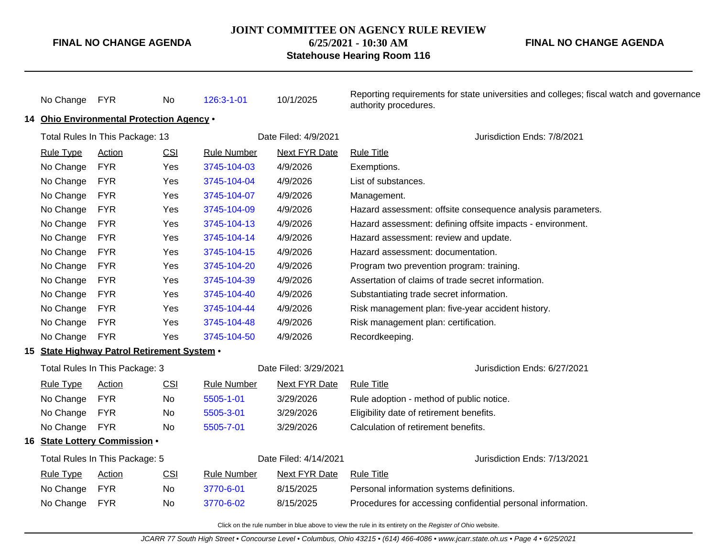#### **JOINT COMMITTEE ON AGENCY RULE REVIEW**

**6/25/2021 - 10:30 AM**

#### **Statehouse Hearing Room 116**

**FINAL NO CHANGE AGENDA**

| No Change FYR                                             |                                             | No                    | 126:3-1-01                                        | 10/1/2025                    | Reporting requirements for state universities and colleges; fiscal watch and governance<br>authority procedures. |  |  |  |  |  |
|-----------------------------------------------------------|---------------------------------------------|-----------------------|---------------------------------------------------|------------------------------|------------------------------------------------------------------------------------------------------------------|--|--|--|--|--|
|                                                           | 14 Ohio Environmental Protection Agency .   |                       |                                                   |                              |                                                                                                                  |  |  |  |  |  |
| Total Rules In This Package: 13                           |                                             |                       |                                                   | Date Filed: 4/9/2021         | Jurisdiction Ends: 7/8/2021                                                                                      |  |  |  |  |  |
| <b>Rule Type</b>                                          | <b>Action</b>                               | CSI                   | <b>Rule Number</b>                                | <b>Next FYR Date</b>         | <b>Rule Title</b>                                                                                                |  |  |  |  |  |
| No Change                                                 | <b>FYR</b>                                  | Yes                   | 3745-104-03                                       | 4/9/2026                     | Exemptions.                                                                                                      |  |  |  |  |  |
| No Change                                                 | <b>FYR</b>                                  | Yes                   | 3745-104-04                                       | 4/9/2026                     | List of substances.                                                                                              |  |  |  |  |  |
| No Change                                                 | <b>FYR</b>                                  | Yes                   | 3745-104-07                                       | 4/9/2026                     | Management.                                                                                                      |  |  |  |  |  |
| No Change                                                 | <b>FYR</b>                                  | <b>Yes</b>            | 3745-104-09                                       | 4/9/2026                     | Hazard assessment: offsite consequence analysis parameters.                                                      |  |  |  |  |  |
| No Change                                                 | <b>FYR</b>                                  | Yes                   | 3745-104-13                                       | 4/9/2026                     | Hazard assessment: defining offsite impacts - environment.                                                       |  |  |  |  |  |
| No Change                                                 | <b>FYR</b>                                  | Yes                   | 3745-104-14                                       | 4/9/2026                     | Hazard assessment: review and update.                                                                            |  |  |  |  |  |
| No Change                                                 | <b>FYR</b>                                  | Yes                   | 3745-104-15                                       | 4/9/2026                     | Hazard assessment: documentation.                                                                                |  |  |  |  |  |
| No Change                                                 | <b>FYR</b>                                  | Yes                   | 3745-104-20                                       | 4/9/2026                     | Program two prevention program: training.                                                                        |  |  |  |  |  |
| No Change                                                 | <b>FYR</b>                                  | Yes                   | 3745-104-39                                       | 4/9/2026                     | Assertation of claims of trade secret information.                                                               |  |  |  |  |  |
| No Change                                                 | <b>FYR</b>                                  | Yes                   | 3745-104-40                                       | 4/9/2026                     | Substantiating trade secret information.                                                                         |  |  |  |  |  |
| No Change<br><b>FYR</b><br>Yes<br>3745-104-44             |                                             | 4/9/2026              | Risk management plan: five-year accident history. |                              |                                                                                                                  |  |  |  |  |  |
| No Change<br><b>FYR</b><br>Yes<br>3745-104-48<br>4/9/2026 |                                             |                       | Risk management plan: certification.              |                              |                                                                                                                  |  |  |  |  |  |
| No Change                                                 | FYR                                         | Yes                   | 3745-104-50                                       | 4/9/2026                     | Recordkeeping.                                                                                                   |  |  |  |  |  |
|                                                           | 15 State Highway Patrol Retirement System . |                       |                                                   |                              |                                                                                                                  |  |  |  |  |  |
| Total Rules In This Package: 3                            |                                             | Date Filed: 3/29/2021 |                                                   | Jurisdiction Ends: 6/27/2021 |                                                                                                                  |  |  |  |  |  |
| <b>Rule Type</b>                                          | <b>Action</b>                               | <b>CSI</b>            | <b>Rule Number</b>                                | <b>Next FYR Date</b>         | <b>Rule Title</b>                                                                                                |  |  |  |  |  |
| No Change                                                 | <b>FYR</b>                                  | No                    | 5505-1-01                                         | 3/29/2026                    | Rule adoption - method of public notice.                                                                         |  |  |  |  |  |
| No Change                                                 | <b>FYR</b>                                  | No                    | 5505-3-01                                         | 3/29/2026                    | Eligibility date of retirement benefits.                                                                         |  |  |  |  |  |
| No Change                                                 | <b>FYR</b>                                  | No                    | 5505-7-01                                         | 3/29/2026                    | Calculation of retirement benefits.                                                                              |  |  |  |  |  |
|                                                           | 16 State Lottery Commission .               |                       |                                                   |                              |                                                                                                                  |  |  |  |  |  |
| Total Rules In This Package: 5                            |                                             |                       | Date Filed: 4/14/2021                             | Jurisdiction Ends: 7/13/2021 |                                                                                                                  |  |  |  |  |  |
| <b>Rule Type</b>                                          | <b>Action</b>                               | <b>CSI</b>            | <b>Rule Number</b>                                | <b>Next FYR Date</b>         | <b>Rule Title</b>                                                                                                |  |  |  |  |  |
| No Change                                                 | <b>FYR</b>                                  | <b>No</b>             | 3770-6-01                                         | 8/15/2025                    | Personal information systems definitions.                                                                        |  |  |  |  |  |
| No Change                                                 | <b>FYR</b>                                  | <b>No</b>             | 3770-6-02                                         | 8/15/2025                    | Procedures for accessing confidential personal information.                                                      |  |  |  |  |  |
|                                                           |                                             |                       |                                                   |                              |                                                                                                                  |  |  |  |  |  |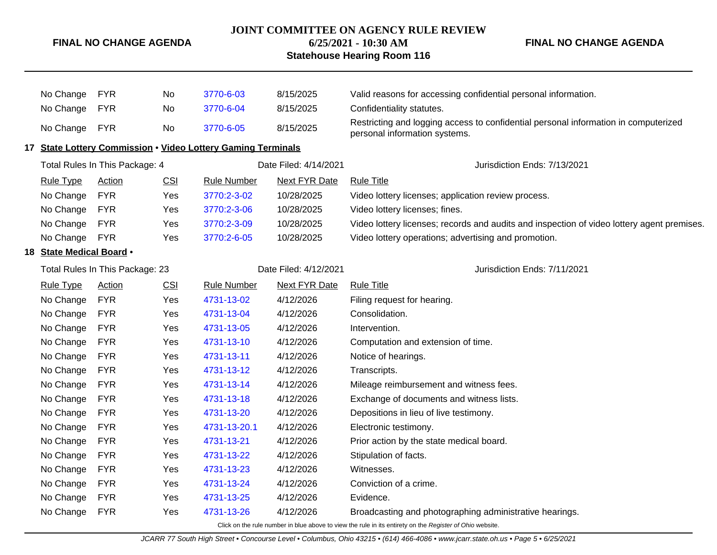#### **JOINT COMMITTEE ON AGENCY RULE REVIEW**

**6/25/2021 - 10:30 AM**

#### **Statehouse Hearing Room 116**

**FINAL NO CHANGE AGENDA**

| No Change                | <b>FYR</b>                      | No  | 3770-6-03                                                    | 8/15/2025             | Valid reasons for accessing confidential personal information.                                                       |
|--------------------------|---------------------------------|-----|--------------------------------------------------------------|-----------------------|----------------------------------------------------------------------------------------------------------------------|
| No Change                | <b>FYR</b>                      | No  | 3770-6-04                                                    | 8/15/2025             | Confidentiality statutes.                                                                                            |
| No Change FYR            |                                 | No  | 3770-6-05                                                    | 8/15/2025             | Restricting and logging access to confidential personal information in computerized<br>personal information systems. |
|                          |                                 |     | 17 State Lottery Commission . Video Lottery Gaming Terminals |                       |                                                                                                                      |
|                          | Total Rules In This Package: 4  |     |                                                              | Date Filed: 4/14/2021 | Jurisdiction Ends: 7/13/2021                                                                                         |
| <b>Rule Type</b>         | <b>Action</b>                   | CSI | <b>Rule Number</b>                                           | <b>Next FYR Date</b>  | <b>Rule Title</b>                                                                                                    |
| No Change                | <b>FYR</b>                      | Yes | 3770:2-3-02                                                  | 10/28/2025            | Video lottery licenses; application review process.                                                                  |
| No Change                | <b>FYR</b>                      | Yes | 3770:2-3-06                                                  | 10/28/2025            | Video lottery licenses; fines.                                                                                       |
| No Change                | <b>FYR</b>                      | Yes | 3770:2-3-09                                                  | 10/28/2025            | Video lottery licenses; records and audits and inspection of video lottery agent premises.                           |
| No Change                | <b>FYR</b>                      | Yes | 3770:2-6-05                                                  | 10/28/2025            | Video lottery operations; advertising and promotion.                                                                 |
| 18 State Medical Board . |                                 |     |                                                              |                       |                                                                                                                      |
|                          | Total Rules In This Package: 23 |     | Date Filed: 4/12/2021                                        |                       | Jurisdiction Ends: 7/11/2021                                                                                         |
| <b>Rule Type</b>         | Action                          | CSI | <b>Rule Number</b>                                           | <b>Next FYR Date</b>  | <b>Rule Title</b>                                                                                                    |
| No Change                | <b>FYR</b>                      | Yes | 4731-13-02                                                   | 4/12/2026             | Filing request for hearing.                                                                                          |
| No Change                | <b>FYR</b>                      | Yes | 4731-13-04                                                   | 4/12/2026             | Consolidation.                                                                                                       |
| No Change                | <b>FYR</b>                      | Yes | 4731-13-05                                                   | 4/12/2026             | Intervention.                                                                                                        |
| No Change                | <b>FYR</b>                      | Yes | 4731-13-10                                                   | 4/12/2026             | Computation and extension of time.                                                                                   |
| No Change                | <b>FYR</b>                      | Yes | 4731-13-11                                                   | 4/12/2026             | Notice of hearings.                                                                                                  |
| No Change                | <b>FYR</b>                      | Yes | 4731-13-12                                                   | 4/12/2026             | Transcripts.                                                                                                         |
| No Change                | <b>FYR</b>                      | Yes | 4731-13-14                                                   | 4/12/2026             | Mileage reimbursement and witness fees.                                                                              |
| No Change                | <b>FYR</b>                      | Yes | 4731-13-18                                                   | 4/12/2026             | Exchange of documents and witness lists.                                                                             |
| No Change                | <b>FYR</b>                      | Yes | 4731-13-20                                                   | 4/12/2026             | Depositions in lieu of live testimony.                                                                               |
| No Change                | <b>FYR</b>                      | Yes | 4731-13-20.1                                                 | 4/12/2026             | Electronic testimony.                                                                                                |
| No Change                | <b>FYR</b>                      | Yes | 4731-13-21                                                   | 4/12/2026             | Prior action by the state medical board.                                                                             |
| No Change                | <b>FYR</b>                      | Yes | 4731-13-22                                                   | 4/12/2026             | Stipulation of facts.                                                                                                |
| No Change                | <b>FYR</b>                      | Yes | 4731-13-23                                                   | 4/12/2026             | Witnesses.                                                                                                           |
| No Change                | <b>FYR</b>                      | Yes | 4731-13-24                                                   | 4/12/2026             | Conviction of a crime.                                                                                               |
| No Change                | <b>FYR</b>                      | Yes | 4731-13-25                                                   | 4/12/2026             | Evidence.                                                                                                            |
| No Change                | <b>FYR</b>                      | Yes | 4731-13-26                                                   | 4/12/2026             | Broadcasting and photographing administrative hearings.                                                              |
|                          |                                 |     |                                                              |                       |                                                                                                                      |